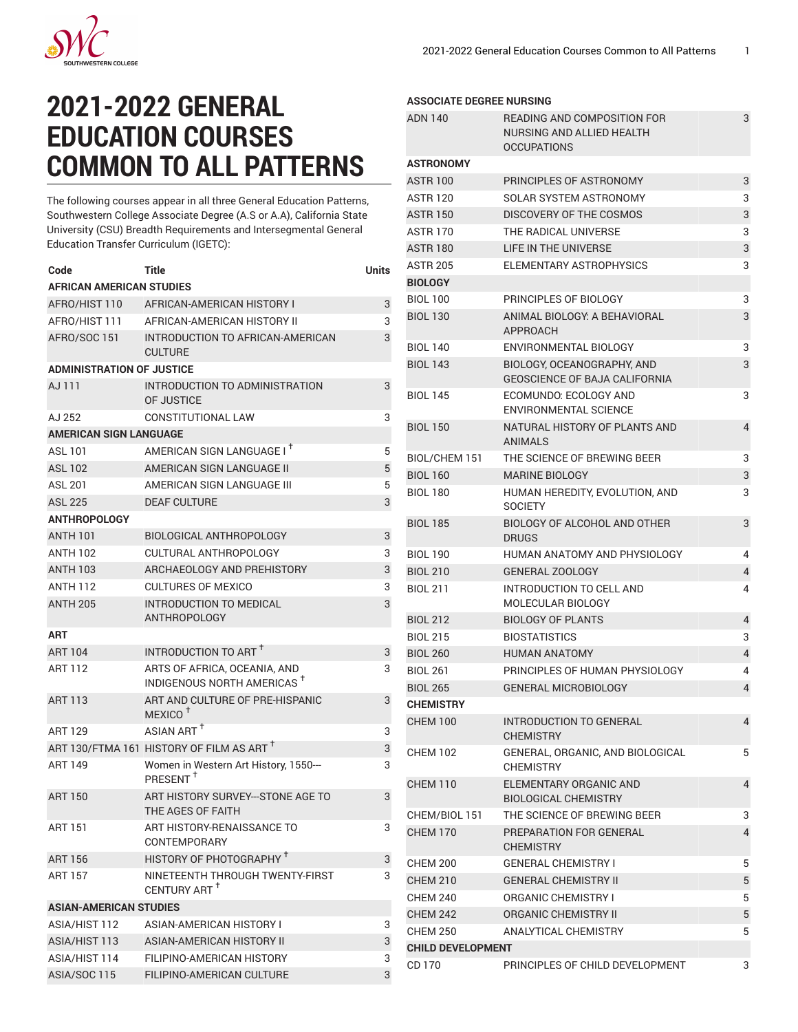

## **2021-2022 GENERAL EDUCATION COURSES COMMON TO ALL PATTERNS**

The following courses appear in all three General Education Patterns, Southwestern College Associate Degree (A.S or A.A), California State University (CSU) Breadth Requirements and Intersegmental General Education Transfer Curriculum (IGETC):

| Code                             | Title                                                                  | Units |  |  |  |
|----------------------------------|------------------------------------------------------------------------|-------|--|--|--|
| AFRICAN AMERICAN STUDIES         |                                                                        |       |  |  |  |
| AFRO/HIST 110                    | AFRICAN-AMERICAN HISTORY I                                             | 3     |  |  |  |
| AFRO/HIST 111                    | AFRICAN-AMERICAN HISTORY II                                            | 3     |  |  |  |
| AFRO/SOC 151                     | INTRODUCTION TO AFRICAN-AMERICAN<br><b>CULTURE</b>                     | 3     |  |  |  |
| <b>ADMINISTRATION OF JUSTICE</b> |                                                                        |       |  |  |  |
| AJ 111                           | INTRODUCTION TO ADMINISTRATION<br>OF JUSTICE                           | 3     |  |  |  |
| AJ 252                           | CONSTITUTIONAL LAW                                                     | 3     |  |  |  |
| <b>AMERICAN SIGN LANGUAGE</b>    |                                                                        |       |  |  |  |
| <b>ASL 101</b>                   | AMERICAN SIGN LANGUAGE I <sup>+</sup>                                  | 5     |  |  |  |
| <b>ASL 102</b>                   | AMERICAN SIGN LANGUAGE II                                              | 5     |  |  |  |
| <b>ASL 201</b>                   | AMERICAN SIGN LANGUAGE III                                             | 5     |  |  |  |
| <b>ASL 225</b>                   | <b>DEAF CULTURE</b>                                                    | 3     |  |  |  |
| <b>ANTHROPOLOGY</b>              |                                                                        |       |  |  |  |
| <b>ANTH 101</b>                  | <b>BIOLOGICAL ANTHROPOLOGY</b>                                         | 3     |  |  |  |
| <b>ANTH 102</b>                  | CULTURAL ANTHROPOLOGY                                                  | 3     |  |  |  |
| <b>ANTH 103</b>                  | ARCHAEOLOGY AND PREHISTORY                                             | 3     |  |  |  |
| <b>ANTH 112</b>                  | <b>CULTURES OF MEXICO</b>                                              | 3     |  |  |  |
| <b>ANTH 205</b>                  | <b>INTRODUCTION TO MEDICAL</b>                                         | 3     |  |  |  |
|                                  | ANTHROPOLOGY                                                           |       |  |  |  |
| ART                              |                                                                        |       |  |  |  |
| <b>ART 104</b>                   | INTRODUCTION TO ART <sup>+</sup>                                       | 3     |  |  |  |
| <b>ART 112</b>                   | ARTS OF AFRICA, OCEANIA, AND<br>INDIGENOUS NORTH AMERICAS <sup>+</sup> | 3     |  |  |  |
| <b>ART 113</b>                   | ART AND CULTURE OF PRE-HISPANIC<br>MEXICO <sup>+</sup>                 | 3     |  |  |  |
| ART 129                          | ASIAN ART <sup>T</sup>                                                 | 3     |  |  |  |
|                                  | ART 130/FTMA 161 HISTORY OF FILM AS ART <sup>†</sup>                   | 3     |  |  |  |
| <b>ART 149</b>                   | Women in Western Art History, 1550---<br>PRESENT <sup>T</sup>          | 3     |  |  |  |
| <b>ART 150</b>                   | ART HISTORY SURVEY--- STONE AGE TO<br>THE AGES OF FAITH                | 3     |  |  |  |
| <b>ART 151</b>                   | ART HISTORY-RENAISSANCE TO<br>CONTEMPORARY                             | 3     |  |  |  |
| <b>ART 156</b>                   | HISTORY OF PHOTOGRAPHY <sup>+</sup>                                    | 3     |  |  |  |
| <b>ART 157</b>                   | NINETEENTH THROUGH TWENTY-FIRST<br>CENTURY ART <sup>+</sup>            | 3     |  |  |  |
| <b>ASIAN-AMERICAN STUDIES</b>    |                                                                        |       |  |  |  |
| ASIA/HIST 112                    | ASIAN-AMERICAN HISTORY I                                               | 3     |  |  |  |
| ASIA/HIST 113                    | ASIAN-AMERICAN HISTORY II                                              | 3     |  |  |  |
| ASIA/HIST 114                    | FILIPINO-AMERICAN HISTORY                                              | 3     |  |  |  |
| ASIA/SOC 115                     | FILIPINO-AMERICAN CULTURE                                              | 3     |  |  |  |

## **ASSOCIATE DEGREE NURSING**

| <b>ADN 140</b>           | READING AND COMPOSITION FOR<br>NURSING AND ALLIED HEALTH<br><b>OCCUPATIONS</b> | 3              |
|--------------------------|--------------------------------------------------------------------------------|----------------|
| <b>ASTRONOMY</b>         |                                                                                |                |
| <b>ASTR 100</b>          | PRINCIPLES OF ASTRONOMY                                                        | 3              |
| <b>ASTR 120</b>          | SOLAR SYSTEM ASTRONOMY                                                         | 3              |
| <b>ASTR 150</b>          | DISCOVERY OF THE COSMOS                                                        | 3              |
| <b>ASTR 170</b>          | THE RADICAL UNIVERSE                                                           | 3              |
| <b>ASTR 180</b>          | LIFE IN THE UNIVERSE                                                           | 3              |
| <b>ASTR 205</b>          | ELEMENTARY ASTROPHYSICS                                                        | 3              |
| <b>BIOLOGY</b>           |                                                                                |                |
| <b>BIOL 100</b>          | PRINCIPLES OF BIOLOGY                                                          | 3              |
| <b>BIOL 130</b>          | ANIMAL BIOLOGY: A BEHAVIORAL<br>APPROACH                                       | 3              |
| <b>BIOL 140</b>          | ENVIRONMENTAL BIOLOGY                                                          | 3              |
| <b>BIOL 143</b>          | BIOLOGY, OCEANOGRAPHY, AND<br>GEOSCIENCE OF BAJA CALIFORNIA                    | 3              |
| <b>BIOL 145</b>          | ECOMUNDO: ECOLOGY AND<br><b>ENVIRONMENTAL SCIENCE</b>                          | 3              |
| <b>BIOL 150</b>          | NATURAL HISTORY OF PLANTS AND<br><b>ANIMALS</b>                                | 4              |
| BIOL/CHEM 151            | THE SCIENCE OF BREWING BEER                                                    | 3              |
| <b>BIOL 160</b>          | <b>MARINE BIOLOGY</b>                                                          | 3              |
| <b>BIOL 180</b>          | HUMAN HEREDITY, EVOLUTION, AND<br><b>SOCIETY</b>                               | 3              |
| <b>BIOL 185</b>          | BIOLOGY OF ALCOHOL AND OTHER<br><b>DRUGS</b>                                   | 3              |
| <b>BIOL 190</b>          | HUMAN ANATOMY AND PHYSIOLOGY                                                   | 4              |
| <b>BIOL 210</b>          | <b>GENERAL ZOOLOGY</b>                                                         | 4              |
| <b>BIOL 211</b>          | INTRODUCTION TO CELL AND<br>MOLECULAR BIOLOGY                                  | 4              |
| <b>BIOL 212</b>          | <b>BIOLOGY OF PLANTS</b>                                                       | 4              |
| <b>BIOL 215</b>          | <b>BIOSTATISTICS</b>                                                           | 3              |
| <b>BIOL 260</b>          | <b>HUMAN ANATOMY</b>                                                           | 4              |
| <b>BIOL 261</b>          | PRINCIPLES OF HUMAN PHYSIOLOGY                                                 | 4              |
| <b>BIOL 265</b>          | <b>GENERAL MICROBIOLOGY</b>                                                    | $\overline{4}$ |
| <b>CHEMISTRY</b>         |                                                                                |                |
| <b>CHEM 100</b>          | <b>INTRODUCTION TO GENERAL</b><br><b>CHEMISTRY</b>                             | 4              |
| <b>CHEM 102</b>          | GENERAL, ORGANIC, AND BIOLOGICAL<br><b>CHEMISTRY</b>                           | 5              |
| <b>CHEM 110</b>          | ELEMENTARY ORGANIC AND<br><b>BIOLOGICAL CHEMISTRY</b>                          | 4              |
| CHEM/BIOL 151            | THE SCIENCE OF BREWING BEER                                                    | 3              |
| <b>CHEM 170</b>          | PREPARATION FOR GENERAL<br><b>CHEMISTRY</b>                                    | 4              |
| <b>CHEM 200</b>          | <b>GENERAL CHEMISTRY I</b>                                                     | 5              |
| <b>CHEM 210</b>          | <b>GENERAL CHEMISTRY II</b>                                                    | 5              |
| <b>CHEM 240</b>          | <b>ORGANIC CHEMISTRY I</b>                                                     | 5              |
| <b>CHEM 242</b>          | <b>ORGANIC CHEMISTRY II</b>                                                    | 5              |
| <b>CHEM 250</b>          | ANALYTICAL CHEMISTRY                                                           | 5              |
| <b>CHILD DEVELOPMENT</b> |                                                                                |                |
| CD 170                   | PRINCIPLES OF CHILD DEVELOPMENT                                                | 3              |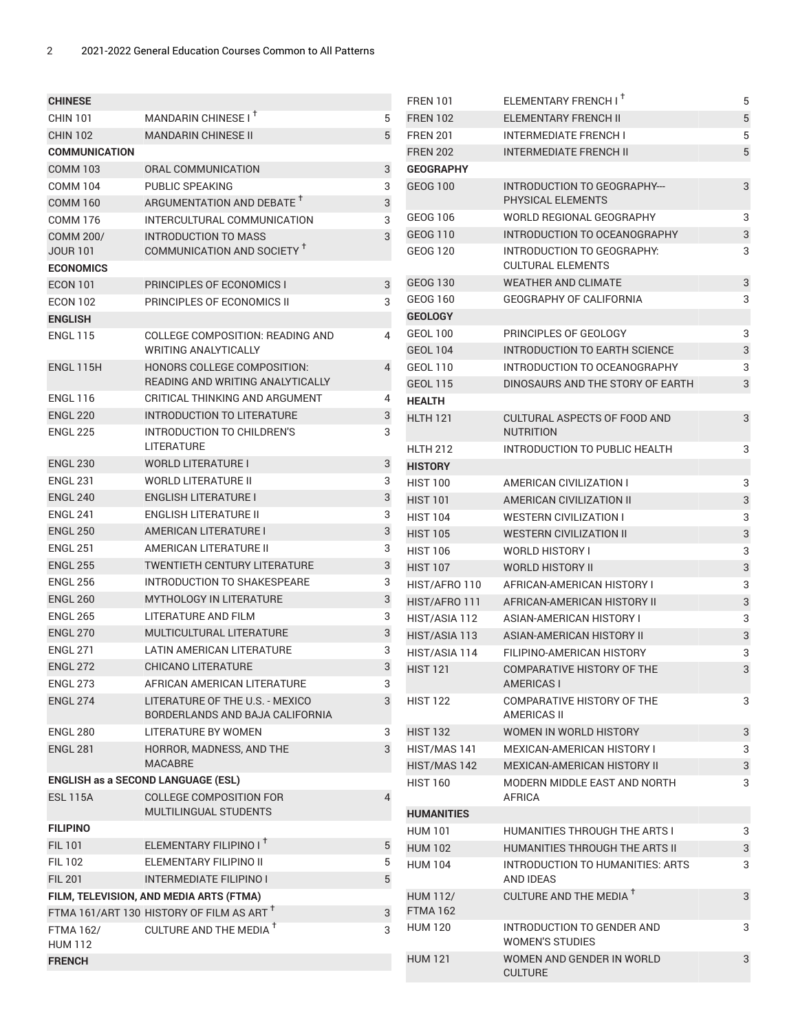| <b>CHINESE</b>                                                                       |                                                                    |             | <b>FREN 101</b>              | ELEMENTARY FRENCH I <sup>+</sup>                                 | 5                              |
|--------------------------------------------------------------------------------------|--------------------------------------------------------------------|-------------|------------------------------|------------------------------------------------------------------|--------------------------------|
| <b>CHIN 101</b>                                                                      | MANDARIN CHINESE I <sup>T</sup>                                    | 5           | <b>FREN 102</b>              | <b>ELEMENTARY FRENCH II</b>                                      | 5                              |
| <b>CHIN 102</b>                                                                      | <b>MANDARIN CHINESE II</b>                                         | 5           | <b>FREN 201</b>              | <b>INTERMEDIATE FRENCH I</b>                                     | 5                              |
| <b>COMMUNICATION</b>                                                                 |                                                                    |             | <b>FREN 202</b>              | <b>INTERMEDIATE FRENCH II</b>                                    | $\mathbf 5$                    |
| <b>COMM 103</b>                                                                      | ORAL COMMUNICATION                                                 | 3           | <b>GEOGRAPHY</b>             |                                                                  |                                |
| <b>COMM 104</b>                                                                      | PUBLIC SPEAKING                                                    | 3           | <b>GEOG 100</b>              | INTRODUCTION TO GEOGRAPHY---                                     | 3                              |
| <b>COMM 160</b>                                                                      | ARGUMENTATION AND DEBATE T                                         | $\sqrt{3}$  |                              | PHYSICAL ELEMENTS                                                |                                |
| <b>COMM 176</b>                                                                      | INTERCULTURAL COMMUNICATION                                        | 3           | <b>GEOG 106</b>              | WORLD REGIONAL GEOGRAPHY                                         | 3                              |
| <b>COMM 200/</b>                                                                     | <b>INTRODUCTION TO MASS</b>                                        | $\mathsf 3$ | GEOG 110                     | INTRODUCTION TO OCEANOGRAPHY                                     | $\ensuremath{\mathsf{3}}$      |
| <b>JOUR 101</b>                                                                      | COMMUNICATION AND SOCIETY <sup>T</sup>                             |             | <b>GEOG 120</b>              | INTRODUCTION TO GEOGRAPHY:                                       | 3                              |
| <b>ECONOMICS</b>                                                                     |                                                                    |             |                              | <b>CULTURAL ELEMENTS</b>                                         |                                |
| <b>ECON 101</b>                                                                      | PRINCIPLES OF ECONOMICS I                                          | 3           | GEOG 130                     | <b>WEATHER AND CLIMATE</b>                                       | 3                              |
| <b>ECON 102</b>                                                                      | PRINCIPLES OF ECONOMICS II                                         | 3           | GEOG 160                     | GEOGRAPHY OF CALIFORNIA                                          | 3                              |
| <b>ENGLISH</b>                                                                       |                                                                    |             | <b>GEOLOGY</b>               |                                                                  |                                |
| <b>ENGL 115</b>                                                                      | <b>COLLEGE COMPOSITION: READING AND</b>                            | 4           | <b>GEOL 100</b>              | PRINCIPLES OF GEOLOGY                                            | 3                              |
|                                                                                      | <b>WRITING ANALYTICALLY</b>                                        |             | <b>GEOL 104</b>              | INTRODUCTION TO EARTH SCIENCE                                    | $\ensuremath{\mathsf{3}}$      |
| ENGL 115H                                                                            | HONORS COLLEGE COMPOSITION:                                        | 4           | <b>GEOL 110</b>              | INTRODUCTION TO OCEANOGRAPHY                                     | 3                              |
|                                                                                      | READING AND WRITING ANALYTICALLY                                   |             | <b>GEOL 115</b>              | DINOSAURS AND THE STORY OF EARTH                                 | 3                              |
| <b>ENGL 116</b>                                                                      | CRITICAL THINKING AND ARGUMENT                                     | 4           | <b>HEALTH</b>                |                                                                  |                                |
| <b>ENGL 220</b>                                                                      | <b>INTRODUCTION TO LITERATURE</b>                                  | 3           | <b>HLTH 121</b>              | CULTURAL ASPECTS OF FOOD AND                                     | 3                              |
| <b>ENGL 225</b>                                                                      | INTRODUCTION TO CHILDREN'S                                         | 3           |                              | <b>NUTRITION</b>                                                 |                                |
|                                                                                      | LITERATURE                                                         |             | <b>HLTH 212</b>              | INTRODUCTION TO PUBLIC HEALTH                                    | 3                              |
| <b>ENGL 230</b>                                                                      | <b>WORLD LITERATURE I</b>                                          | 3           | <b>HISTORY</b>               |                                                                  |                                |
| <b>ENGL 231</b>                                                                      | <b>WORLD LITERATURE II</b>                                         | 3           | <b>HIST 100</b>              | AMERICAN CIVILIZATION I                                          | 3                              |
| <b>ENGL 240</b>                                                                      | <b>ENGLISH LITERATURE I</b>                                        | $\sqrt{3}$  | <b>HIST 101</b>              | AMERICAN CIVILIZATION II                                         | $\ensuremath{\mathsf{3}}$      |
| <b>ENGL 241</b>                                                                      | ENGLISH LITERATURE II                                              | 3           | <b>HIST 104</b>              | <b>WESTERN CIVILIZATION I</b>                                    | 3                              |
| <b>ENGL 250</b>                                                                      | AMERICAN LITERATURE I                                              | 3           | <b>HIST 105</b>              | <b>WESTERN CIVILIZATION II</b>                                   | 3                              |
| <b>ENGL 251</b>                                                                      | AMERICAN LITERATURE II                                             | 3           | <b>HIST 106</b>              | <b>WORLD HISTORY I</b>                                           | 3                              |
| <b>ENGL 255</b>                                                                      | <b>TWENTIETH CENTURY LITERATURE</b>                                | 3           | <b>HIST 107</b>              | <b>WORLD HISTORY II</b>                                          | $\ensuremath{\mathsf{3}}$      |
| <b>ENGL 256</b>                                                                      | INTRODUCTION TO SHAKESPEARE                                        | 3           | HIST/AFRO 110                | AFRICAN-AMERICAN HISTORY I                                       | 3                              |
| <b>ENGL 260</b>                                                                      | <b>MYTHOLOGY IN LITERATURE</b>                                     | $\sqrt{3}$  | HIST/AFRO 111                | AFRICAN-AMERICAN HISTORY II                                      | $\ensuremath{\mathsf{3}}$      |
| <b>ENGL 265</b>                                                                      | <b>LITERATURE AND FILM</b>                                         | 3           | HIST/ASIA 112                | ASIAN-AMERICAN HISTORY I                                         | 3                              |
| <b>ENGL 270</b>                                                                      | MULTICULTURAL LITERATURE                                           | 3           | HIST/ASIA 113                | ASIAN-AMERICAN HISTORY II                                        | 3                              |
| <b>ENGL 271</b>                                                                      | LATIN AMERICAN LITERATURE                                          | 3           | HIST/ASIA 114                | FILIPINO-AMERICAN HISTORY                                        | 3                              |
| <b>ENGL 272</b>                                                                      | <b>CHICANO LITERATURE</b>                                          | 3           | <b>HIST 121</b>              | COMPARATIVE HISTORY OF THE                                       | 3                              |
| <b>ENGL 273</b>                                                                      | AFRICAN AMERICAN LITERATURE                                        | 3           |                              | <b>AMERICAS I</b>                                                |                                |
| <b>ENGL 274</b>                                                                      | LITERATURE OF THE U.S. - MEXICO<br>BORDERLANDS AND BAJA CALIFORNIA | 3           | <b>HIST 122</b>              | COMPARATIVE HISTORY OF THE<br>AMERICAS II                        | 3                              |
| <b>ENGL 280</b>                                                                      | LITERATURE BY WOMEN                                                | 3           | <b>HIST 132</b>              | WOMEN IN WORLD HISTORY                                           | $\sqrt{3}$                     |
| <b>ENGL 281</b>                                                                      | HORROR, MADNESS, AND THE<br><b>MACABRE</b>                         | 3           | HIST/MAS 141<br>HIST/MAS 142 | MEXICAN-AMERICAN HISTORY I<br><b>MEXICAN-AMERICAN HISTORY II</b> | 3<br>$\ensuremath{\mathsf{3}}$ |
|                                                                                      | ENGLISH as a SECOND LANGUAGE (ESL)                                 |             | <b>HIST 160</b>              | MODERN MIDDLE EAST AND NORTH                                     | 3                              |
| <b>ESL 115A</b>                                                                      | <b>COLLEGE COMPOSITION FOR</b><br>MULTILINGUAL STUDENTS            | 4           |                              | AFRICA                                                           |                                |
| <b>FILIPINO</b>                                                                      |                                                                    |             | <b>HUMANITIES</b>            |                                                                  |                                |
| <b>FIL 101</b>                                                                       | ELEMENTARY FILIPINO IT                                             | 5           | <b>HUM 101</b>               | HUMANITIES THROUGH THE ARTS I                                    | 3                              |
| <b>FIL 102</b>                                                                       | ELEMENTARY FILIPINO II                                             | 5           | <b>HUM 102</b>               | HUMANITIES THROUGH THE ARTS II                                   | $\sqrt{3}$                     |
| <b>FIL 201</b>                                                                       | <b>INTERMEDIATE FILIPINO I</b>                                     | 5           | <b>HUM 104</b>               | INTRODUCTION TO HUMANITIES: ARTS<br>AND IDEAS                    | 3                              |
|                                                                                      |                                                                    |             | <b>HUM 112/</b>              | CULTURE AND THE MEDIA <sup>T</sup>                               | $\mathbf{3}$                   |
| FILM, TELEVISION, AND MEDIA ARTS (FTMA)<br>FTMA 161/ART 130 HISTORY OF FILM AS ART T |                                                                    | 3           | <b>FTMA 162</b>              |                                                                  |                                |
| <b>FTMA 162/</b>                                                                     | CULTURE AND THE MEDIA <sup>T</sup>                                 | 3           | <b>HUM 120</b>               | INTRODUCTION TO GENDER AND<br><b>WOMEN'S STUDIES</b>             | 3                              |
| <b>HUM 112</b><br><b>FRENCH</b>                                                      |                                                                    |             | <b>HUM 121</b>               | WOMEN AND GENDER IN WORLD                                        | 3                              |
|                                                                                      |                                                                    |             |                              | <b>CULTURE</b>                                                   |                                |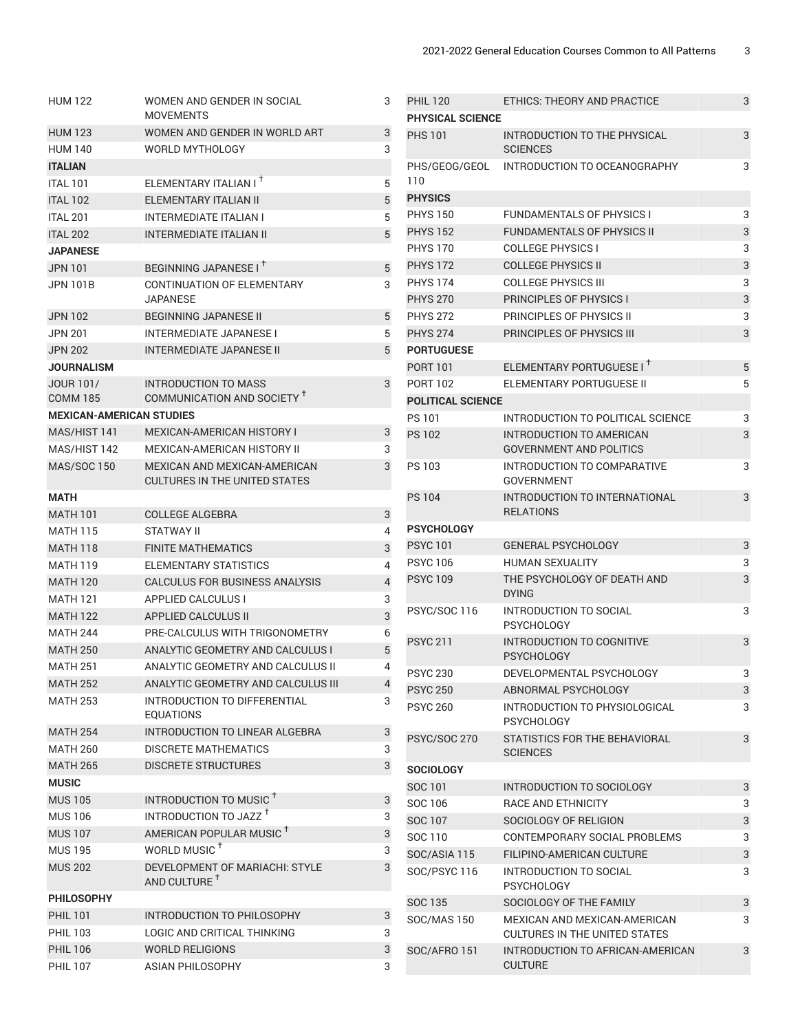| <b>HUM 122</b>                  | WOMEN AND GENDER IN SOCIAL                                                  | 3 |
|---------------------------------|-----------------------------------------------------------------------------|---|
|                                 | <b>MOVEMENTS</b>                                                            |   |
| <b>HUM 123</b>                  | WOMEN AND GENDER IN WORLD ART                                               | 3 |
| <b>HUM 140</b>                  | <b>WORLD MYTHOLOGY</b>                                                      | 3 |
| <b>ITALIAN</b>                  |                                                                             |   |
| <b>ITAI 101</b>                 | ELEMENTARY ITALIAN I <sup>+</sup>                                           | 5 |
| <b>ITAL 102</b>                 | ELEMENTARY ITALIAN II                                                       | 5 |
| <b>ITAL 201</b>                 | <b>INTERMEDIATE ITALIAN I</b>                                               | 5 |
| <b>ITAL 202</b>                 | <b>INTERMEDIATE ITALIAN II</b>                                              | 5 |
| <b>JAPANESE</b>                 |                                                                             |   |
| <b>JPN 101</b>                  | BEGINNING JAPANESE I <sup>+</sup>                                           | 5 |
| JPN 101B                        | CONTINUATION OF ELEMENTARY                                                  | 3 |
|                                 | JAPANESE                                                                    |   |
| <b>JPN 102</b>                  | <b>BEGINNING JAPANESE II</b>                                                | 5 |
| <b>JPN 201</b>                  | <b>INTERMEDIATE JAPANESE I</b>                                              | 5 |
| <b>JPN 202</b>                  | <b>INTERMEDIATE JAPANESE II</b>                                             | 5 |
| <b>JOURNALISM</b>               |                                                                             |   |
| JOUR 101/                       | <b>INTRODUCTION TO MASS</b>                                                 | 3 |
| <b>COMM 185</b>                 | COMMUNICATION AND SOCIETY <sup>+</sup>                                      |   |
| <b>MEXICAN-AMERICAN STUDIES</b> |                                                                             |   |
| MAS/HIST 141                    | <b>MEXICAN-AMERICAN HISTORY I</b>                                           | 3 |
| MAS/HIST 142                    | MEXICAN-AMERICAN HISTORY II                                                 | 3 |
| <b>MAS/SOC 150</b>              | <b>MEXICAN AND MEXICAN-AMERICAN</b><br><b>CULTURES IN THE UNITED STATES</b> | 3 |
| MATH                            |                                                                             |   |
| <b>MATH 101</b>                 | <b>COLLEGE ALGEBRA</b>                                                      | 3 |
| <b>MATH 115</b>                 | <b>STATWAY II</b>                                                           | 4 |
| <b>MATH 118</b>                 | <b>FINITE MATHEMATICS</b>                                                   | 3 |
| <b>MATH 119</b>                 | <b>ELEMENTARY STATISTICS</b>                                                | 4 |
| <b>MATH 120</b>                 | CALCULUS FOR BUSINESS ANALYSIS                                              | 4 |
| <b>MATH 121</b>                 | <b>APPLIED CALCULUS I</b>                                                   | 3 |
| <b>MATH 122</b>                 | <b>APPLIED CALCULUS II</b>                                                  | 3 |
| <b>MATH 244</b>                 | PRE-CALCULUS WITH TRIGONOMETRY                                              | 6 |
| <b>MATH 250</b>                 | ANALYTIC GEOMETRY AND CALCULUS I                                            | 5 |
| <b>MATH 251</b>                 | ANALYTIC GEOMETRY AND CALCULUS II                                           | 4 |
| <b>MATH 252</b>                 | ANALYTIC GEOMETRY AND CALCULUS III                                          | 4 |
| <b>MATH 253</b>                 | INTRODUCTION TO DIFFERENTIAL                                                | 3 |
|                                 | <b>EQUATIONS</b>                                                            |   |
| <b>MATH 254</b>                 | INTRODUCTION TO LINEAR ALGEBRA                                              | 3 |
| <b>MATH 260</b>                 | <b>DISCRETE MATHEMATICS</b>                                                 | 3 |
| <b>MATH 265</b>                 | <b>DISCRETE STRUCTURES</b>                                                  | 3 |
| <b>MUSIC</b>                    |                                                                             |   |
| <b>MUS 105</b>                  | INTRODUCTION TO MUSIC <sup>+</sup>                                          | 3 |
| <b>MUS 106</b>                  | INTRODUCTION TO JAZZ <sup>+</sup>                                           | 3 |
| <b>MUS 107</b>                  | AMERICAN POPULAR MUSIC <sup>T</sup>                                         | 3 |
| <b>MUS 195</b>                  | WORLD MUSIC <sup>+</sup>                                                    | 3 |
| <b>MUS 202</b>                  | DEVELOPMENT OF MARIACHI: STYLE<br>AND CULTURE <sup>+</sup>                  | 3 |
| <b>PHILOSOPHY</b>               |                                                                             |   |
| <b>PHIL 101</b>                 | INTRODUCTION TO PHILOSOPHY                                                  | 3 |
| <b>PHIL 103</b>                 | LOGIC AND CRITICAL THINKING                                                 | 3 |
| <b>PHIL 106</b>                 | <b>WORLD RELIGIONS</b>                                                      | 3 |
| <b>PHIL 107</b>                 | <b>ASIAN PHILOSOPHY</b>                                                     | 3 |

| <b>PHIL 120</b><br><b>PHYSICAL SCIENCE</b> | ETHICS: THEORY AND PRACTICE                                          | 3 |
|--------------------------------------------|----------------------------------------------------------------------|---|
| <b>PHS 101</b>                             | INTRODUCTION TO THE PHYSICAL<br><b>SCIENCES</b>                      | 3 |
| PHS/GEOG/GEOL<br>110                       | INTRODUCTION TO OCEANOGRAPHY                                         | 3 |
| <b>PHYSICS</b>                             |                                                                      |   |
| <b>PHYS 150</b>                            | <b>FUNDAMENTALS OF PHYSICS I</b>                                     | 3 |
| <b>PHYS 152</b>                            | <b>FUNDAMENTALS OF PHYSICS II</b>                                    | 3 |
| <b>PHYS 170</b>                            | <b>COLLEGE PHYSICS I</b>                                             | 3 |
| <b>PHYS 172</b>                            | <b>COLLEGE PHYSICS II</b>                                            | 3 |
| <b>PHYS 174</b>                            | <b>COLLEGE PHYSICS III</b>                                           | 3 |
| <b>PHYS 270</b>                            | <b>PRINCIPLES OF PHYSICS I</b>                                       | 3 |
| <b>PHYS 272</b>                            | <b>PRINCIPLES OF PHYSICS II</b>                                      | 3 |
| <b>PHYS 274</b>                            | <b>PRINCIPLES OF PHYSICS III</b>                                     | 3 |
| <b>PORTUGUESE</b>                          |                                                                      |   |
| <b>PORT 101</b>                            | ELEMENTARY PORTUGUESE I <sup>+</sup>                                 | 5 |
| <b>PORT 102</b>                            | ELEMENTARY PORTUGUESE II                                             | 5 |
| <b>POLITICAL SCIENCE</b>                   |                                                                      |   |
| <b>PS 101</b>                              | INTRODUCTION TO POLITICAL SCIENCE                                    | 3 |
| <b>PS 102</b>                              | <b>INTRODUCTION TO AMERICAN</b><br><b>GOVERNMENT AND POLITICS</b>    | 3 |
| PS 103                                     | INTRODUCTION TO COMPARATIVE<br><b>GOVERNMENT</b>                     | 3 |
| <b>PS 104</b>                              | INTRODUCTION TO INTERNATIONAL<br><b>RELATIONS</b>                    | 3 |
| <b>PSYCHOLOGY</b>                          |                                                                      |   |
| <b>PSYC101</b>                             | <b>GENERAL PSYCHOLOGY</b>                                            | 3 |
| <b>PSYC106</b>                             | <b>HUMAN SEXUALITY</b>                                               | 3 |
| <b>PSYC109</b>                             | THE PSYCHOLOGY OF DEATH AND<br><b>DYING</b>                          | 3 |
| PSYC/SOC 116                               | <b>INTRODUCTION TO SOCIAL</b><br><b>PSYCHOLOGY</b>                   | 3 |
| <b>PSYC 211</b>                            | <b>INTRODUCTION TO COGNITIVE</b><br><b>PSYCHOLOGY</b>                | 3 |
| <b>PSYC 230</b>                            | DEVELOPMENTAL PSYCHOLOGY                                             | 3 |
| <b>PSYC 250</b>                            | ABNORMAL PSYCHOLOGY                                                  | 3 |
| <b>PSYC 260</b>                            | INTRODUCTION TO PHYSIOLOGICAL<br><b>PSYCHOLOGY</b>                   | 3 |
| <b>PSYC/SOC 270</b>                        | STATISTICS FOR THE BEHAVIORAL<br><b>SCIENCES</b>                     | 3 |
| <b>SOCIOLOGY</b>                           |                                                                      |   |
| SOC 101                                    | INTRODUCTION TO SOCIOLOGY                                            | 3 |
| SOC 106                                    | <b>RACE AND ETHNICITY</b>                                            | 3 |
| SOC 107                                    | SOCIOLOGY OF RELIGION                                                | 3 |
| SOC 110                                    | CONTEMPORARY SOCIAL PROBLEMS                                         | 3 |
| SOC/ASIA 115                               | FILIPINO-AMERICAN CULTURE                                            | 3 |
| SOC/PSYC 116                               | INTRODUCTION TO SOCIAL<br><b>PSYCHOLOGY</b>                          | 3 |
| SOC 135                                    | SOCIOLOGY OF THE FAMILY                                              | 3 |
| <b>SOC/MAS 150</b>                         | MEXICAN AND MEXICAN-AMERICAN<br><b>CULTURES IN THE UNITED STATES</b> | 3 |
| SOC/AFRO 151                               | INTRODUCTION TO AFRICAN-AMERICAN<br><b>CULTURE</b>                   | 3 |